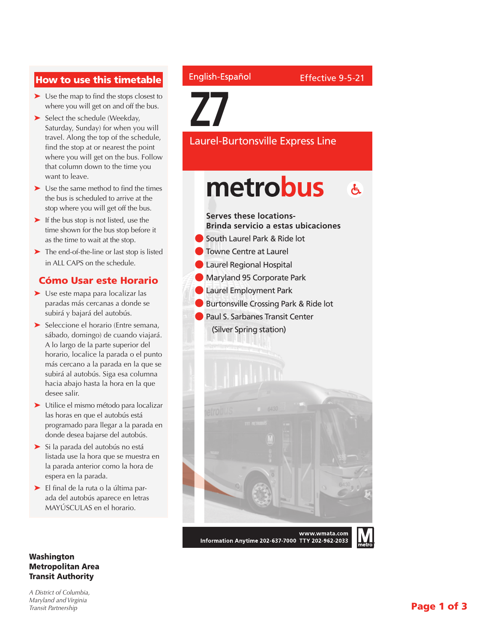## How to use this timetable

- ➤ Use the map to find the stops closest to where you will get on and off the bus.
- ➤ Select the schedule (Weekday, Saturday, Sunday) for when you will travel. Along the top of the schedule, find the stop at or nearest the point where you will get on the bus. Follow that column down to the time you want to leave.
- ➤ Use the same method to find the times the bus is scheduled to arrive at the stop where you will get off the bus.
- ► If the bus stop is not listed, use the time shown for the bus stop before it as the time to wait at the stop.
- ➤ The end-of-the-line or last stop is listed in ALL CAPS on the schedule.

### Cómo Usar este Horario

- ➤ Use este mapa para localizar las paradas más cercanas a donde se subirá y bajará del autobús.
- ➤ Seleccione el horario (Entre semana, sábado, domingo) de cuando viajará. A lo largo de la parte superior del horario, localice la parada o el punto más cercano a la parada en la que se subirá al autobús. Siga esa columna hacia abajo hasta la hora en la que desee salir.
- ➤ Utilice el mismo método para localizar las horas en que el autobús está programado para llegar a la parada en donde desea bajarse del autobús.
- ➤ Si la parada del autobús no está listada use la hora que se muestra en la parada anterior como la hora de espera en la parada.
- ➤ El final de la ruta o la última parada del autobús aparece en letras MAYÚSCULAS en el horario.

#### Washington Metropolitan Area Transit Authority

*A District of Columbia, Maryland and Virginia Transit Partnership*

## English-Español

**Z7**

Laurel-Burtonsville Express Line

## metrobus  $\mathbf{A}$

#### **Serves these locations-Brinda servicio a estas ubicaciones**

- l South Laurel Park & Ride lot
- **C** Towne Centre at Laurel
- **C** Laurel Regional Hospital
- **Maryland 95 Corporate Park**
- **C** Laurel Employment Park
- **Burtonsville Crossing Park & Ride lot**
- **Paul S. Sarbanes Transit Center** (Silver Spring station)



Information Anytime 202-637-7000 TTY 202-962-2033

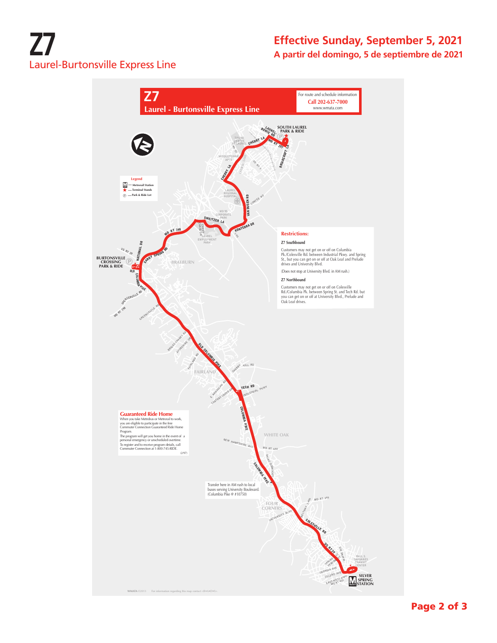# **Z7** Laurel-Burtonsville Express Line

## **Effective Sunday, September 5, 2021 A partir del domingo, 5 de septiembre de 2021**